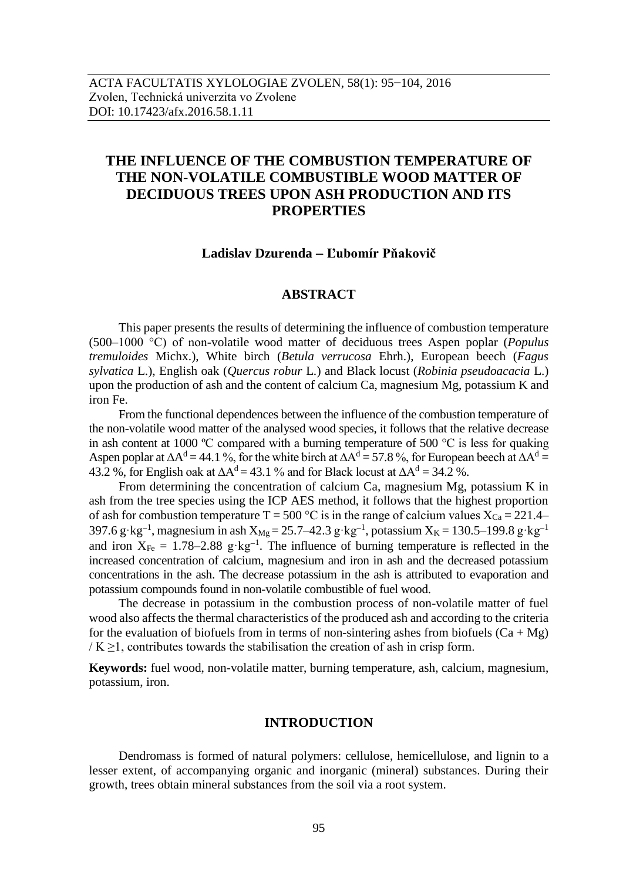# **THE INFLUENCE OF THE COMBUSTION TEMPERATURE OF THE NON-VOLATILE COMBUSTIBLE WOOD MATTER OF DECIDUOUS TREES UPON ASH PRODUCTION AND ITS PROPERTIES**

# **Ladislav Dzurenda Ľubomír Pňakovič**

# **ABSTRACT**

This paper presents the results of determining the influence of combustion temperature (500–1000 °C) of non-volatile wood matter of deciduous trees Aspen poplar (*Populus tremuloides* Michx.), White birch (*Betula verrucosa* Ehrh.), European beech (*Fagus sylvatica* L.), English oak (*Quercus robur* L.) and Black locust (*Robinia pseudoacacia* L.) upon the production of ash and the content of calcium Ca, magnesium Mg, potassium K and iron Fe.

From the functional dependences between the influence of the combustion temperature of the non-volatile wood matter of the analysed wood species, it follows that the relative decrease in ash content at 1000 ºC compared with a burning temperature of 500 °C is less for quaking Aspen poplar at  $\Delta A^d = 44.1$  %, for the white birch at  $\Delta A^d = 57.8$  %, for European beech at  $\Delta A^d =$ 43.2 %, for English oak at  $\Delta A^d = 43.1$  % and for Black locust at  $\Delta A^d = 34.2$  %.

From determining the concentration of calcium Ca, magnesium Mg, potassium K in ash from the tree species using the ICP AES method, it follows that the highest proportion of ash for combustion temperature T = 500 °C is in the range of calcium values  $X_{Ca} = 221.4-$ 397.6 g·kg<sup>-1</sup>, magnesium in ash  $X_{Mg} = 25.7 - 42.3$  g·kg<sup>-1</sup>, potassium  $X_K = 130.5 - 199.8$  g·kg<sup>-1</sup> and iron  $X_{Fe} = 1.78-2.88$  g·kg<sup>-1</sup>. The influence of burning temperature is reflected in the increased concentration of calcium, magnesium and iron in ash and the decreased potassium concentrations in the ash. The decrease potassium in the ash is attributed to evaporation and potassium compounds found in non-volatile combustible of fuel wood.

The decrease in potassium in the combustion process of non-volatile matter of fuel wood also affects the thermal characteristics of the produced ash and according to the criteria for the evaluation of biofuels from in terms of non-sintering ashes from biofuels  $(Ca + Mg)$  $/K \geq 1$ , contributes towards the stabilisation the creation of ash in crisp form.

**Keywords:** fuel wood, non-volatile matter, burning temperature, ash, calcium, magnesium, potassium, iron.

# **INTRODUCTION**

Dendromass is formed of natural polymers: cellulose, hemicellulose, and lignin to a lesser extent, of accompanying organic and inorganic (mineral) substances. During their growth, trees obtain mineral substances from the soil via a root system.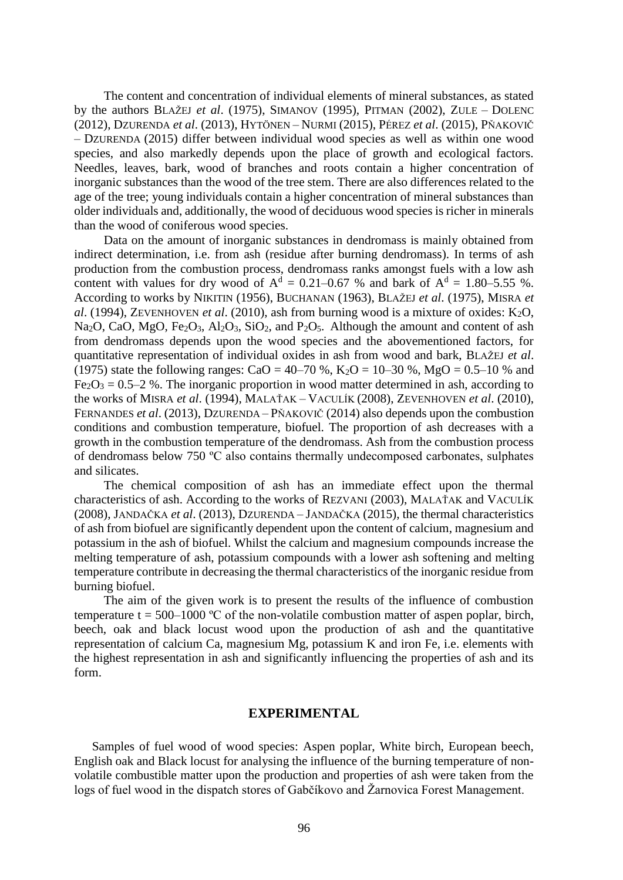The content and concentration of individual elements of mineral substances, as stated by the authors BLAŽEJ *et al*. (1975), SIMANOV (1995), PITMAN (2002), ZULE – DOLENC (2012), DZURENDA *et al*. (2013), HYTÖNEN – NURMI (2015), PÉREZ *et al*. (2015), PŇAKOVIČ – DZURENDA (2015) differ between individual wood species as well as within one wood species, and also markedly depends upon the place of growth and ecological factors. Needles, leaves, bark, wood of branches and roots contain a higher concentration of inorganic substances than the wood of the tree stem. There are also differences related to the age of the tree; young individuals contain a higher concentration of mineral substances than older individuals and, additionally, the wood of deciduous wood species is richer in minerals than the wood of coniferous wood species.

Data on the amount of inorganic substances in dendromass is mainly obtained from indirect determination, i.e. from ash (residue after burning dendromass). In terms of ash production from the combustion process, dendromass ranks amongst fuels with a low ash content with values for dry wood of  $A^d = 0.21 - 0.67$  % and bark of  $A^d = 1.80 - 5.55$  %. According to works by NIKITIN (1956), BUCHANAN (1963), BLAŽEJ *et al*. (1975), MISRA *et al.* (1994), ZEVENHOVEN *et al.* (2010), ash from burning wood is a mixture of oxides:  $K_2O$ , Na<sub>2</sub>O, CaO, MgO, Fe<sub>2</sub>O<sub>3</sub>, Al<sub>2</sub>O<sub>3</sub>, SiO<sub>2</sub>, and P<sub>2</sub>O<sub>5</sub>. Although the amount and content of ash from dendromass depends upon the wood species and the abovementioned factors, for quantitative representation of individual oxides in ash from wood and bark, BLAŽEJ *et al*. (1975) state the following ranges: CaO = 40–70 %, K<sub>2</sub>O = 10–30 %, MgO = 0.5–10 % and  $Fe<sub>2</sub>O<sub>3</sub> = 0.5-2$  %. The inorganic proportion in wood matter determined in ash, according to the works of MISRA *et al*. (1994), MALAŤAK – VACULÍK (2008), ZEVENHOVEN *et al*. (2010), FERNANDES *et al*. (2013), DZURENDA – PŇAKOVIČ (2014) also depends upon the combustion conditions and combustion temperature, biofuel. The proportion of ash decreases with a growth in the combustion temperature of the dendromass. Ash from the combustion process of dendromass below 750 ºC also contains thermally undecomposed carbonates, sulphates and silicates.

The chemical composition of ash has an immediate effect upon the thermal characteristics of ash. According to the works of REZVANI (2003), MALAŤAK and VACULÍK (2008), JANDAČKA *et al*. (2013), DZURENDA – JANDAČKA (2015), the thermal characteristics of ash from biofuel are significantly dependent upon the content of calcium, magnesium and potassium in the ash of biofuel. Whilst the calcium and magnesium compounds increase the melting temperature of ash, potassium compounds with a lower ash softening and melting temperature contribute in decreasing the thermal characteristics of the inorganic residue from burning biofuel.

The aim of the given work is to present the results of the influence of combustion temperature t = 500–1000 °C of the non-volatile combustion matter of aspen poplar, birch, beech, oak and black locust wood upon the production of ash and the quantitative representation of calcium Ca, magnesium Mg, potassium K and iron Fe, i.e. elements with the highest representation in ash and significantly influencing the properties of ash and its form.

## **EXPERIMENTAL**

Samples of fuel wood of wood species: Aspen poplar, White birch, European beech, English oak and Black locust for analysing the influence of the burning temperature of nonvolatile combustible matter upon the production and properties of ash were taken from the logs of fuel wood in the dispatch stores of Gabčíkovo and Žarnovica Forest Management.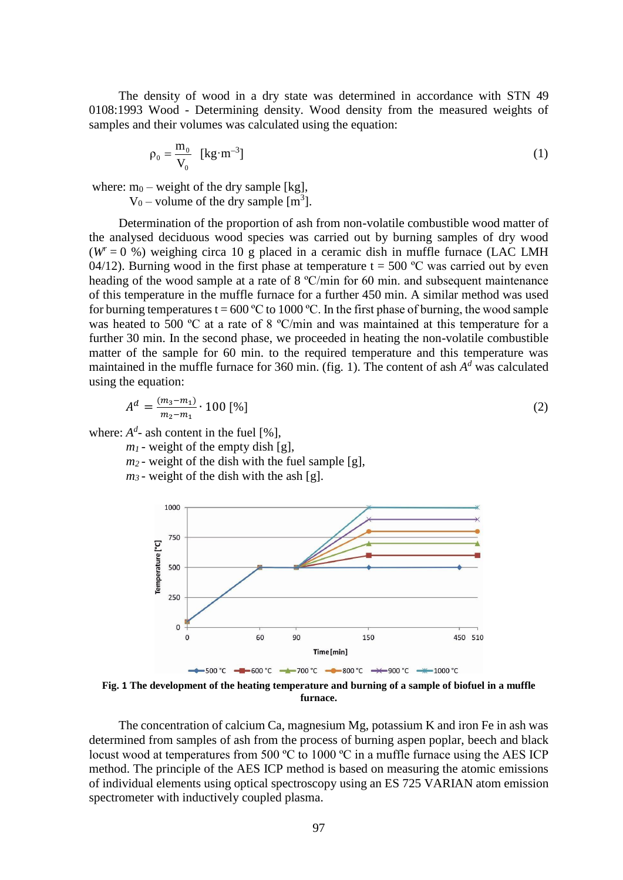The density of wood in a dry state was determined in accordance with STN 49 0108:1993 Wood - Determining density. Wood density from the measured weights of samples and their volumes was calculated using the equation:

$$
\rho_0 = \frac{\mathbf{m}_0}{\mathbf{V}_0} \quad \left[\text{kg} \cdot \text{m}^{-3}\right] \tag{1}
$$

where:  $m_0$  – weight of the dry sample [kg],

 $V_0$  – volume of the dry sample [m<sup>3</sup>].

Determination of the proportion of ash from non-volatile combustible wood matter of the analysed deciduous wood species was carried out by burning samples of dry wood  $(W = 0 \%)$  weighing circa 10 g placed in a ceramic dish in muffle furnace (LAC LMH) 04/12). Burning wood in the first phase at temperature  $t = 500$  °C was carried out by even heading of the wood sample at a rate of  $8 \text{ °C/min}$  for 60 min. and subsequent maintenance of this temperature in the muffle furnace for a further 450 min. A similar method was used for burning temperatures t = 600 °C to 1000 °C. In the first phase of burning, the wood sample was heated to 500 °C at a rate of 8 °C/min and was maintained at this temperature for a further 30 min. In the second phase, we proceeded in heating the non-volatile combustible matter of the sample for 60 min. to the required temperature and this temperature was maintained in the muffle furnace for 360 min. (fig. 1). The content of ash  $A<sup>d</sup>$  was calculated using the equation:

$$
A^{d} = \frac{(m_3 - m_1)}{m_2 - m_1} \cdot 100 \, [\%]
$$
 (2)

where:  $A^d$ - ash content in the fuel [%],

 $m_l$  - weight of the empty dish [g],

- $m_2$  weight of the dish with the fuel sample [g],
- *m<sup>3</sup>* weight of the dish with the ash [g].



**Fig. 1 The development of the heating temperature and burning of a sample of biofuel in a muffle furnace.**

The concentration of calcium Ca, magnesium Mg, potassium K and iron Fe in ash was determined from samples of ash from the process of burning aspen poplar, beech and black locust wood at temperatures from 500 °C to 1000 °C in a muffle furnace using the AES ICP method. The principle of the AES ICP method is based on measuring the atomic emissions of individual elements using optical spectroscopy using an ES 725 VARIAN atom emission spectrometer with inductively coupled plasma.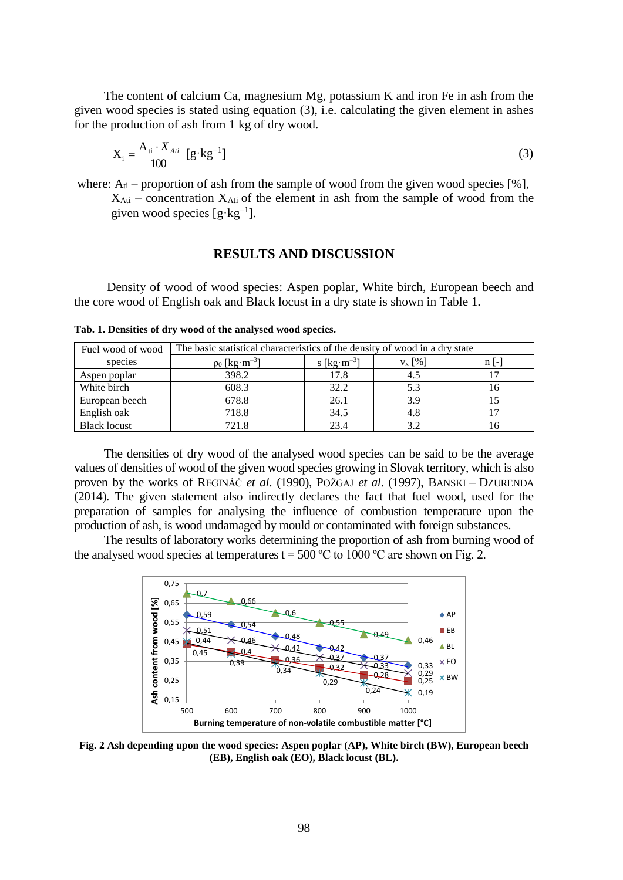The content of calcium Ca, magnesium Mg, potassium K and iron Fe in ash from the given wood species is stated using equation (3), i.e. calculating the given element in ashes for the production of ash from 1 kg of dry wood.

$$
X_i = \frac{A_{ii} \cdot X_{Ai}}{100} \left[ g \cdot kg^{-1} \right]
$$
 (3)

where:  $A_{ti}$  – proportion of ash from the sample of wood from the given wood species [%],  $X_{\text{Ati}}$  – concentration  $X_{\text{Ati}}$  of the element in ash from the sample of wood from the given wood species  $[g \cdot kg^{-1}]$ .

#### **RESULTS AND DISCUSSION**

Density of wood of wood species: Aspen poplar, White birch, European beech and the core wood of English oak and Black locust in a dry state is shown in Table 1.

| Fuel wood of wood   | The basic statistical characteristics of the density of wood in a dry state |                                     |             |        |  |  |  |
|---------------------|-----------------------------------------------------------------------------|-------------------------------------|-------------|--------|--|--|--|
| species             | $\rho_0$ [kg·m <sup>-3</sup> ]                                              | s [ $\text{kg}\cdot\text{m}^{-3}$ ] | $V_{X}$ [%] | $n$  - |  |  |  |
| Aspen poplar        | 398.2                                                                       | 17.8                                | 4.5         |        |  |  |  |
| White birch         | 608.3                                                                       | 32.2                                | 5.3         | 16     |  |  |  |
| European beech      | 678.8                                                                       | 26.1                                | 3.9         |        |  |  |  |
| English oak         | 718.8                                                                       | 34.5                                | 4.8         |        |  |  |  |
| <b>Black locust</b> | 721.8                                                                       | 23.4                                |             | ı n    |  |  |  |

**Tab. 1. Densities of dry wood of the analysed wood species.**

The densities of dry wood of the analysed wood species can be said to be the average values of densities of wood of the given wood species growing in Slovak territory, which is also proven by the works of REGINÁČ *et al*. (1990), POŽGAJ *et al*. (1997), BANSKI – DZURENDA (2014). The given statement also indirectly declares the fact that fuel wood, used for the preparation of samples for analysing the influence of combustion temperature upon the production of ash, is wood undamaged by mould or contaminated with foreign substances.

The results of laboratory works determining the proportion of ash from burning wood of the analysed wood species at temperatures  $t = 500 \degree C$  to 1000  $\degree C$  are shown on Fig. 2.



**Fig. 2 Ash depending upon the wood species: Aspen poplar (AP), White birch (BW), European beech (EB), English oak (EO), Black locust (BL).**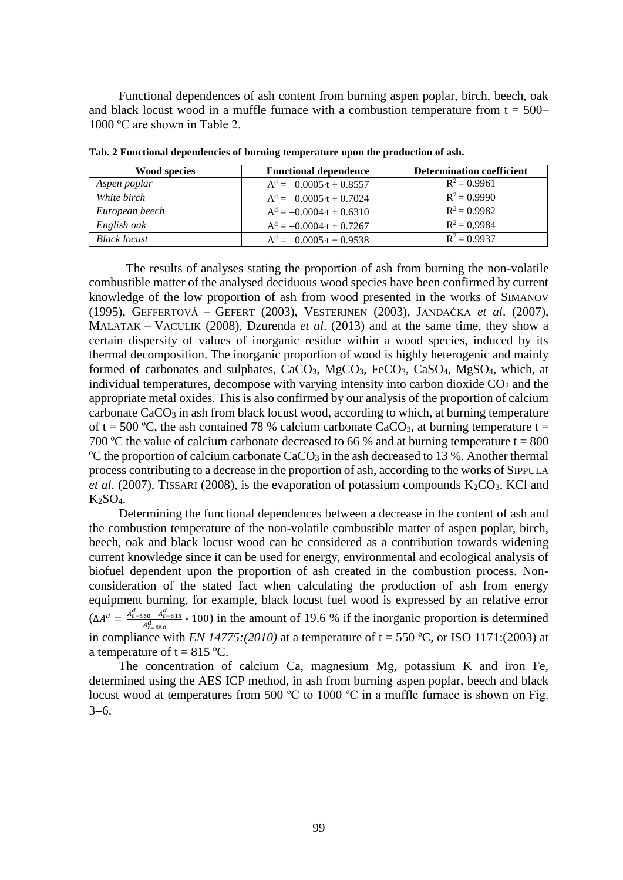Functional dependences of ash content from burning aspen poplar, birch, beech, oak and black locust wood in a muffle furnace with a combustion temperature from  $t = 500-$ 1000 ºC are shown in Table 2.

| <b>Wood species</b> | <b>Functional dependence</b>    | <b>Determination coefficient</b> |  |  |  |
|---------------------|---------------------------------|----------------------------------|--|--|--|
| Aspen poplar        | $Ad = -0.0005 \cdot t + 0.8557$ | $R^2 = 0.9961$                   |  |  |  |
| White birch         | $Ad = -0.0005 \cdot t + 0.7024$ | $R^2 = 0.9990$                   |  |  |  |
| European beech      | $Ad = -0.0004 \cdot t + 0.6310$ | $R^2 = 0.9982$                   |  |  |  |
| English oak         | $Ad = -0.0004 \cdot t + 0.7267$ | $R^2 = 0.9984$                   |  |  |  |
| <b>Black locust</b> | $Ad = -0.0005 \cdot t + 0.9538$ | $R^2 = 0.9937$                   |  |  |  |

**Tab. 2 Functional dependencies of burning temperature upon the production of ash.**

The results of analyses stating the proportion of ash from burning the non-volatile combustible matter of the analysed deciduous wood species have been confirmed by current knowledge of the low proportion of ash from wood presented in the works of SIMANOV (1995), GEFFERTOVÁ – GEFERT (2003), VESTERINEN (2003), JANDAČKA *et al*. (2007), MALATAK – VACULIK (2008), Dzurenda *et al*. (2013) and at the same time, they show a certain dispersity of values of inorganic residue within a wood species, induced by its thermal decomposition. The inorganic proportion of wood is highly heterogenic and mainly formed of carbonates and sulphates,  $CaCO<sub>3</sub>$ ,  $MgCO<sub>3</sub>$ ,  $FeCO<sub>3</sub>$ ,  $CaSO<sub>4</sub>$ ,  $MgSO<sub>4</sub>$ , which, at individual temperatures, decompose with varying intensity into carbon dioxide  $CO<sub>2</sub>$  and the appropriate metal oxides. This is also confirmed by our analysis of the proportion of calcium carbonate  $CaCO<sub>3</sub>$  in ash from black locust wood, according to which, at burning temperature of t = 500 °C, the ash contained 78 % calcium carbonate CaCO<sub>3</sub>, at burning temperature t = 700 °C the value of calcium carbonate decreased to 66 % and at burning temperature  $t = 800$  $\rm{^{\circ}C}$  the proportion of calcium carbonate CaCO<sub>3</sub> in the ash decreased to 13 %. Another thermal process contributing to a decrease in the proportion of ash, according to the works of S[IPPULA](http://pubs.acs.org/action/doSearch?ContribStored=Sippula%2C+O) *et al.* (2007), TISSARI (2008), is the evaporation of potassium compounds  $K_2CO_3$ , KCl and  $K_2SO_4$ .

Determining the functional dependences between a decrease in the content of ash and the combustion temperature of the non-volatile combustible matter of aspen poplar, birch, beech, oak and black locust wood can be considered as a contribution towards widening current knowledge since it can be used for energy, environmental and ecological analysis of biofuel dependent upon the proportion of ash created in the combustion process. Nonconsideration of the stated fact when calculating the production of ash from energy equipment burning, for example, black locust fuel wood is expressed by an relative error  $(\Delta A^d = \frac{A_{t=550}^d - A_{t=815}^d}{4d} * 100)$  in the amount of 19.6 % if the inorganic proportion is determined  $\overline{A^d_{t=550}}$ in compliance with *EN 14775:(2010)* at a temperature of  $t = 550$  °C, or ISO 1171:(2003) at a temperature of  $t = 815$  °C.

The concentration of calcium Ca, magnesium Mg, potassium K and iron Fe, determined using the AES ICP method, in ash from burning aspen poplar, beech and black locust wood at temperatures from 500 °C to 1000 °C in a muffle furnace is shown on Fig.  $3-6.$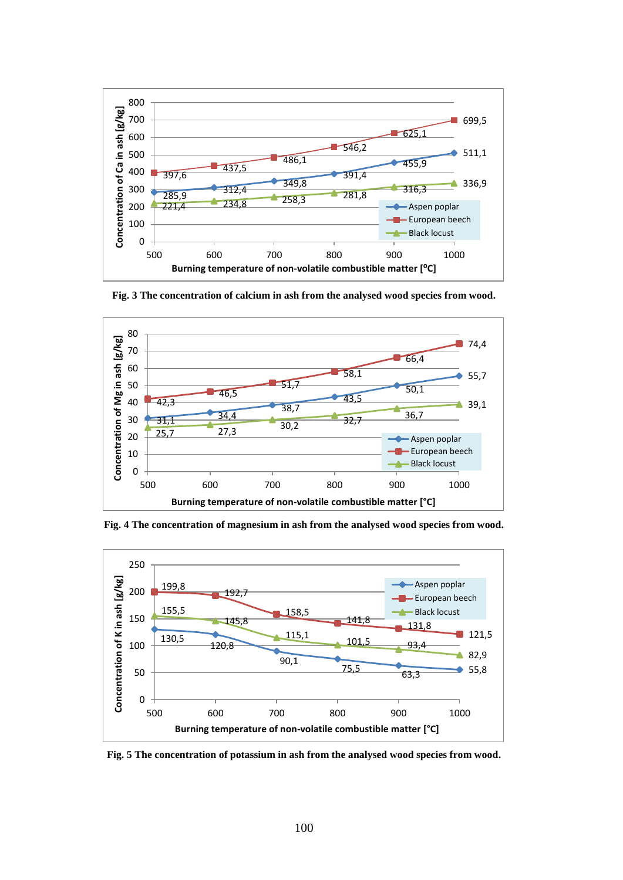

**Fig. 3 The concentration of calcium in ash from the analysed wood species from wood.**



**Fig. 4 The concentration of magnesium in ash from the analysed wood species from wood.**



**Fig. 5 The concentration of potassium in ash from the analysed wood species from wood.**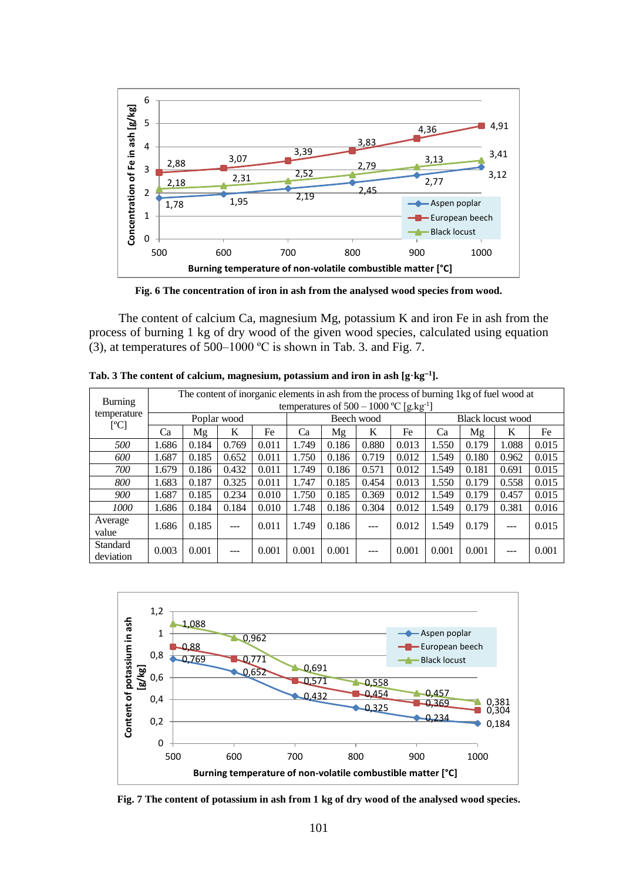

**Fig. 6 The concentration of iron in ash from the analysed wood species from wood.**

The content of calcium Ca, magnesium Mg, potassium K and iron Fe in ash from the process of burning 1 kg of dry wood of the given wood species, calculated using equation (3), at temperatures of 500–1000 ºC is shown in Tab. 3. and Fig. 7.

|                                       | The content of inorganic elements in ash from the process of burning 1kg of fuel wood at |       |                |            |       |       |                   |       |       |       |       |       |       |
|---------------------------------------|------------------------------------------------------------------------------------------|-------|----------------|------------|-------|-------|-------------------|-------|-------|-------|-------|-------|-------|
| <b>Burning</b><br>temperature<br>[°C] | temperatures of $500 - 1000$ °C [g,kg <sup>-1</sup> ]                                    |       |                |            |       |       |                   |       |       |       |       |       |       |
|                                       | Poplar wood                                                                              |       |                | Beech wood |       |       | Black locust wood |       |       |       |       |       |       |
|                                       | Ca                                                                                       | Mg    | K              | Fe         | Ca    | Mg    | K                 | Fe    | Ca    | Mg    | K     | Fe    |       |
| 500                                   | 1.686                                                                                    | 0.184 | 0.769          | 0.011      | 1.749 | 0.186 | 0.880             | 0.013 | 1.550 | 0.179 | 1.088 | 0.015 |       |
| 600                                   | 1.687                                                                                    | 0.185 | 0.652          | 0.011      | 1.750 | 0.186 | 0.719             | 0.012 | 1.549 | 0.180 | 0.962 | 0.015 |       |
| 700                                   | 1.679                                                                                    | 0.186 | 0.432          | 0.011      | 1.749 | 0.186 | 0.571             | 0.012 | 1.549 | 0.181 | 0.691 | 0.015 |       |
| 800                                   | 1.683                                                                                    | 0.187 | 0.325          | 0.011      | 1.747 | 0.185 | 0.454             | 0.013 | 1.550 | 0.179 | 0.558 | 0.015 |       |
| 900                                   | 1.687                                                                                    | 0.185 | 0.234          | 0.010      | 1.750 | 0.185 | 0.369             | 0.012 | 1.549 | 0.179 | 0.457 | 0.015 |       |
| 1000                                  | 1.686                                                                                    | 0.184 | 0.184          | 0.010      | 1.748 | 0.186 | 0.304             | 0.012 | 1.549 | 0.179 | 0.381 | 0.016 |       |
| Average                               | 1.686                                                                                    |       | 0.185          |            | 0.011 | 1.749 | 0.186             |       | 0.012 | 1.549 | 0.179 |       | 0.015 |
| value                                 |                                                                                          |       | $---$          |            |       |       | ---               |       |       |       | $---$ |       |       |
| Standard                              | 0.003                                                                                    | 0.001 | 0.001<br>$---$ |            | 0.001 | 0.001 | $---$             | 0.001 | 0.001 | 0.001 | $---$ | 0.001 |       |
| deviation                             |                                                                                          |       |                |            |       |       |                   |       |       |       |       |       |       |

**Tab. 3 The content of calcium, magnesium, potassium and iron in ash [g·kg<sup>1</sup> ].**



**Fig. 7 The content of potassium in ash from 1 kg of dry wood of the analysed wood species.**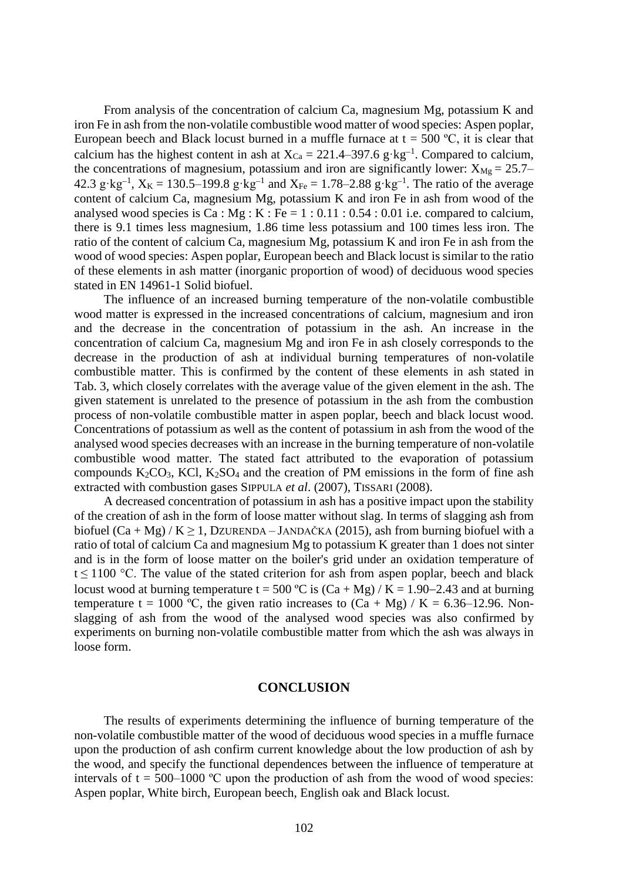From analysis of the concentration of calcium Ca, magnesium Mg, potassium K and iron Fe in ash from the non-volatile combustible wood matter of wood species: Aspen poplar, European beech and Black locust burned in a muffle furnace at  $t = 500$  °C, it is clear that calcium has the highest content in ash at  $X_{Ca} = 221.4 - 397.6$  g·kg<sup>-1</sup>. Compared to calcium, the concentrations of magnesium, potassium and iron are significantly lower:  $X_{Mg} = 25.7-$ 42.3 g·kg<sup>-1</sup>,  $X_K = 130.5 - 199.8$  g·kg<sup>-1</sup> and  $X_{Fe} = 1.78 - 2.88$  g·kg<sup>-1</sup>. The ratio of the average content of calcium Ca, magnesium Mg, potassium K and iron Fe in ash from wood of the analysed wood species is Ca :  $Mg : K : Fe = 1 : 0.11 : 0.54 : 0.01$  i.e. compared to calcium, there is 9.1 times less magnesium, 1.86 time less potassium and 100 times less iron. The ratio of the content of calcium Ca, magnesium Mg, potassium K and iron Fe in ash from the wood of wood species: Aspen poplar, European beech and Black locust is similar to the ratio of these elements in ash matter (inorganic proportion of wood) of deciduous wood species stated in EN 14961-1 Solid biofuel.

The influence of an increased burning temperature of the non-volatile combustible wood matter is expressed in the increased concentrations of calcium, magnesium and iron and the decrease in the concentration of potassium in the ash. An increase in the concentration of calcium Ca, magnesium Mg and iron Fe in ash closely corresponds to the decrease in the production of ash at individual burning temperatures of non-volatile combustible matter. This is confirmed by the content of these elements in ash stated in Tab. 3, which closely correlates with the average value of the given element in the ash. The given statement is unrelated to the presence of potassium in the ash from the combustion process of non-volatile combustible matter in aspen poplar, beech and black locust wood. Concentrations of potassium as well as the content of potassium in ash from the wood of the analysed wood species decreases with an increase in the burning temperature of non-volatile combustible wood matter. The stated fact attributed to the evaporation of potassium compounds  $K_2CO_3$ , KCl,  $K_2SO_4$  and the creation of PM emissions in the form of fine ash extracted with combustion gases S[IPPULA](http://pubs.acs.org/action/doSearch?ContribStored=Sippula%2C+O) *et al*. (2007), TISSARI (2008).

A decreased concentration of potassium in ash has a positive impact upon the stability of the creation of ash in the form of loose matter without slag. In terms of slagging ash from biofuel  $(Ca + Mg) / K \ge 1$ , DZURENDA – JANDAČKA (2015), ash from burning biofuel with a ratio of total of calcium Ca and magnesium Mg to potassium K greater than 1 does not sinter and is in the form of loose matter on the boiler's grid under an oxidation temperature of t  $\leq$  1100 °C. The value of the stated criterion for ash from aspen poplar, beech and black locust wood at burning temperature t = 500 °C is  $(Ca + Mg) / K = 1.90-2.43$  and at burning temperature t = 1000 °C, the given ratio increases to  $(Ca + Mg) / K = 6.36{\text -}12.96$ . Nonslagging of ash from the wood of the analysed wood species was also confirmed by experiments on burning non-volatile combustible matter from which the ash was always in loose form.

## **CONCLUSION**

The results of experiments determining the influence of burning temperature of the non-volatile combustible matter of the wood of deciduous wood species in a muffle furnace upon the production of ash confirm current knowledge about the low production of ash by the wood, and specify the functional dependences between the influence of temperature at intervals of  $t = 500-1000$  °C upon the production of ash from the wood of wood species: Aspen poplar, White birch, European beech, English oak and Black locust.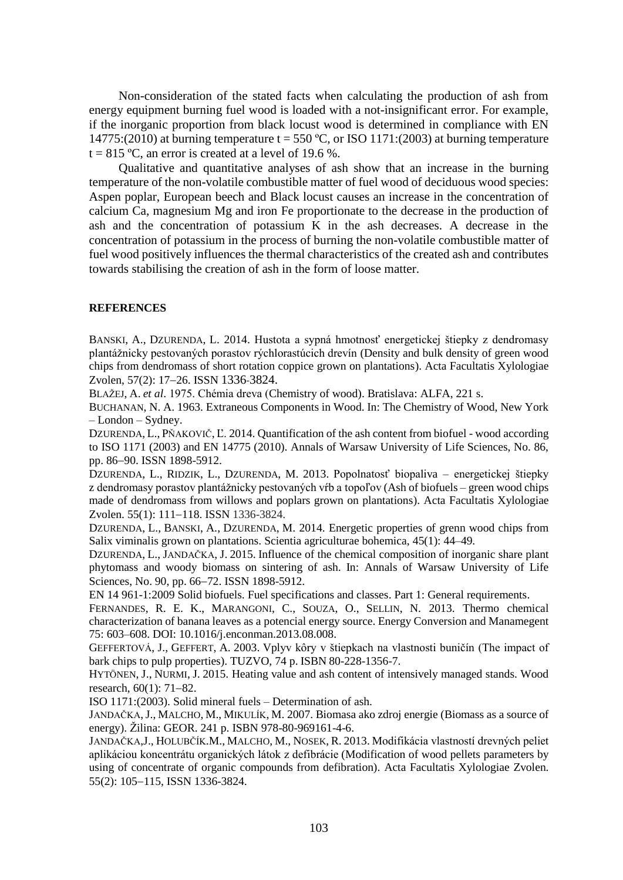Non-consideration of the stated facts when calculating the production of ash from energy equipment burning fuel wood is loaded with a not-insignificant error. For example, if the inorganic proportion from black locust wood is determined in compliance with EN 14775:(2010) at burning temperature  $t = 550$  °C, or ISO 1171:(2003) at burning temperature  $t = 815$  °C, an error is created at a level of 19.6 %.

Qualitative and quantitative analyses of ash show that an increase in the burning temperature of the non-volatile combustible matter of fuel wood of deciduous wood species: Aspen poplar, European beech and Black locust causes an increase in the concentration of calcium Ca, magnesium Mg and iron Fe proportionate to the decrease in the production of ash and the concentration of potassium K in the ash decreases. A decrease in the concentration of potassium in the process of burning the non-volatile combustible matter of fuel wood positively influences the thermal characteristics of the created ash and contributes towards stabilising the creation of ash in the form of loose matter.

## **REFERENCES**

BANSKI, A., DZURENDA, L. 2014. Hustota a sypná hmotnosť energetickej štiepky z dendromasy plantážnicky pestovaných porastov rýchlorastúcich drevín (Density and bulk density of green wood chips from dendromass of short rotation coppice grown on plantations). Acta Facultatis Xylologiae Zvolen, 57(2): 17-26. ISSN 1336-3824.

BLAŽEJ, A. *et al*. 1975. Chémia dreva (Chemistry of wood). Bratislava: ALFA, 221 s.

BUCHANAN, N. A. 1963. Extraneous Components in Wood. In: The Chemistry of Wood, New York – London – Sydney.

DZURENDA, L., PŇAKOVIČ, Ľ. 2014. Quantification of the ash content from biofuel - wood according to ISO 1171 (2003) and EN 14775 (2010). Annals of Warsaw University of Life Sciences, No. 86, pp. 86-90. ISSN 1898-5912.

DZURENDA, L., RIDZIK, L., DZURENDA, M. 2013. Popolnatosť biopaliva – energetickej štiepky z dendromasy porastov plantážnicky pestovaných vŕb a topoľov (Ash of biofuels – green wood chips made of dendromass from willows and poplars grown on plantations). Acta Facultatis Xylologiae Zvolen. 55(1): 111-118. ISSN 1336-3824.

DZURENDA, L., BANSKI, A., DZURENDA, M. 2014. Energetic properties of grenn wood chips from Salix viminalis grown on plantations. Scientia agriculturae bohemica, 45(1): 44–49.

DZURENDA, L., JANDAČKA, J. 2015. Influence of the chemical composition of inorganic share plant phytomass and woody biomass on sintering of ash. In: Annals of Warsaw University of Life Sciences, No. 90, pp. 66–72. ISSN 1898-5912.

EN 14 961-1:2009 Solid biofuels. Fuel specifications and classes. Part 1: General requirements.

FERNANDES, R. E. K., MARANGONI, C., SOUZA, O., SELLIN, N. 2013. Thermo chemical characterization of banana leaves as a potencial energy source. Energy Conversion and Manamegent 75: 603–608. DOI: 10.1016/j.enconman.2013.08.008.

GEFFERTOVÁ, J., GEFFERT, A. 2003. Vplyv kôry v štiepkach na vlastnosti buničín (The impact of bark chips to pulp properties). TUZVO, 74 p. ISBN 80-228-1356-7.

HYTÖNEN, J., NURMI, J. 2015. Heating value and ash content of intensively managed stands. Wood research,  $60(1)$ : 71-82.

ISO 1171:(2003). Solid mineral fuels – Determination of ash.

JANDAČKA,J., MALCHO, M., MIKULÍK, M. 2007. Biomasa ako zdroj energie (Biomass as a source of energy). Žilina: GEOR. 241 p. ISBN 978-80-969161-4-6.

JANDAČKA,J., HOLUBČÍK.M., MALCHO, M., NOSEK, R. 2013. Modifikácia vlastností drevných peliet aplikáciou koncentrátu organických látok z defibrácie (Modification of wood pellets parameters by using of concentrate of organic compounds from defibration). Acta Facultatis Xylologiae Zvolen. 55(2): 105-115, ISSN 1336-3824.